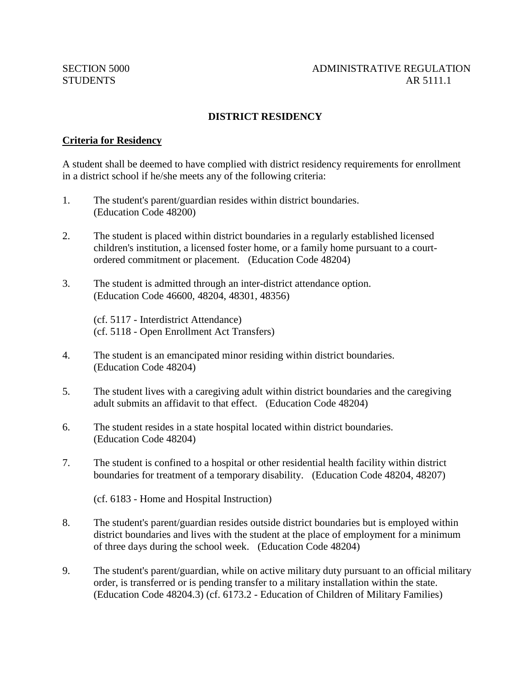# **DISTRICT RESIDENCY**

#### **Criteria for Residency**

A student shall be deemed to have complied with district residency requirements for enrollment in a district school if he/she meets any of the following criteria:

- 1. The student's parent/guardian resides within district boundaries. (Education Code 48200)
- 2. The student is placed within district boundaries in a regularly established licensed children's institution, a licensed foster home, or a family home pursuant to a courtordered commitment or placement. (Education Code 48204)
- 3. The student is admitted through an inter-district attendance option. (Education Code 46600, 48204, 48301, 48356)

(cf. 5117 - Interdistrict Attendance) (cf. 5118 - Open Enrollment Act Transfers)

- 4. The student is an emancipated minor residing within district boundaries. (Education Code 48204)
- 5. The student lives with a caregiving adult within district boundaries and the caregiving adult submits an affidavit to that effect. (Education Code 48204)
- 6. The student resides in a state hospital located within district boundaries. (Education Code 48204)
- 7. The student is confined to a hospital or other residential health facility within district boundaries for treatment of a temporary disability. (Education Code 48204, 48207)

(cf. 6183 - Home and Hospital Instruction)

- 8. The student's parent/guardian resides outside district boundaries but is employed within district boundaries and lives with the student at the place of employment for a minimum of three days during the school week. (Education Code 48204)
- 9. The student's parent/guardian, while on active military duty pursuant to an official military order, is transferred or is pending transfer to a military installation within the state. (Education Code 48204.3) (cf. 6173.2 - Education of Children of Military Families)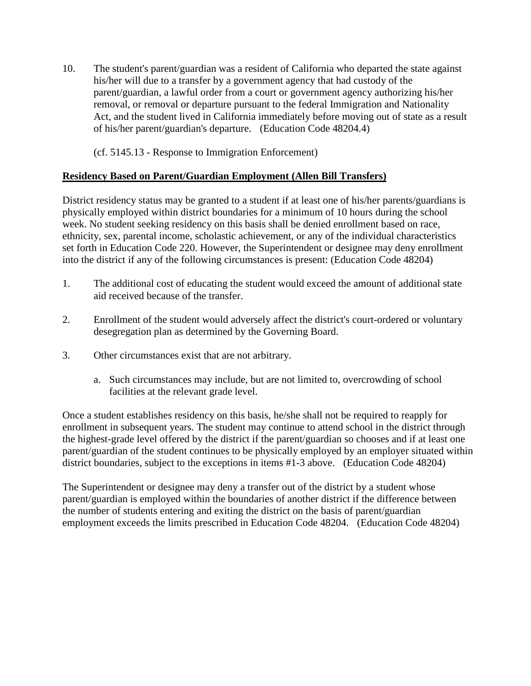10. The student's parent/guardian was a resident of California who departed the state against his/her will due to a transfer by a government agency that had custody of the parent/guardian, a lawful order from a court or government agency authorizing his/her removal, or removal or departure pursuant to the federal Immigration and Nationality Act, and the student lived in California immediately before moving out of state as a result of his/her parent/guardian's departure. (Education Code 48204.4)

(cf. 5145.13 - Response to Immigration Enforcement)

# **Residency Based on Parent/Guardian Employment (Allen Bill Transfers)**

District residency status may be granted to a student if at least one of his/her parents/guardians is physically employed within district boundaries for a minimum of 10 hours during the school week. No student seeking residency on this basis shall be denied enrollment based on race, ethnicity, sex, parental income, scholastic achievement, or any of the individual characteristics set forth in Education Code 220. However, the Superintendent or designee may deny enrollment into the district if any of the following circumstances is present: (Education Code 48204)

- 1. The additional cost of educating the student would exceed the amount of additional state aid received because of the transfer.
- 2. Enrollment of the student would adversely affect the district's court-ordered or voluntary desegregation plan as determined by the Governing Board.
- 3. Other circumstances exist that are not arbitrary.
	- a. Such circumstances may include, but are not limited to, overcrowding of school facilities at the relevant grade level.

Once a student establishes residency on this basis, he/she shall not be required to reapply for enrollment in subsequent years. The student may continue to attend school in the district through the highest-grade level offered by the district if the parent/guardian so chooses and if at least one parent/guardian of the student continues to be physically employed by an employer situated within district boundaries, subject to the exceptions in items #1-3 above. (Education Code 48204)

The Superintendent or designee may deny a transfer out of the district by a student whose parent/guardian is employed within the boundaries of another district if the difference between the number of students entering and exiting the district on the basis of parent/guardian employment exceeds the limits prescribed in Education Code 48204. (Education Code 48204)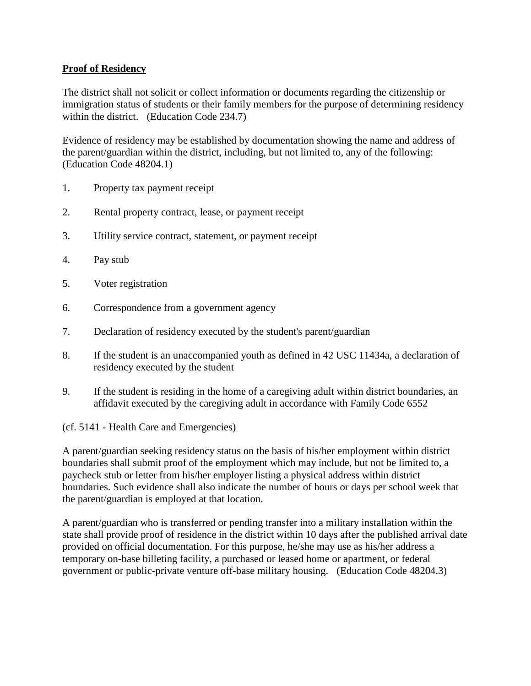### **Proof of Residency**

The district shall not solicit or collect information or documents regarding the citizenship or immigration status of students or their family members for the purpose of determining residency within the district. (Education Code 234.7)

Evidence of residency may be established by documentation showing the name and address of the parent/guardian within the district, including, but not limited to, any of the following: (Education Code 48204.1)

- 1. Property tax payment receipt
- 2. Rental property contract, lease, or payment receipt
- 3. Utility service contract, statement, or payment receipt
- 4. Pay stub
- 5. Voter registration
- 6. Correspondence from a government agency
- 7. Declaration of residency executed by the student's parent/guardian
- 8. If the student is an unaccompanied youth as defined in 42 USC 11434a, a declaration of residency executed by the student
- 9. If the student is residing in the home of a caregiving adult within district boundaries, an affidavit executed by the caregiving adult in accordance with Family Code 6552

(cf. 5141 - Health Care and Emergencies)

A parent/guardian seeking residency status on the basis of his/her employment within district boundaries shall submit proof of the employment which may include, but not be limited to, a paycheck stub or letter from his/her employer listing a physical address within district boundaries. Such evidence shall also indicate the number of hours or days per school week that the parent/guardian is employed at that location.

A parent/guardian who is transferred or pending transfer into a military installation within the state shall provide proof of residence in the district within 10 days after the published arrival date provided on official documentation. For this purpose, he/she may use as his/her address a temporary on-base billeting facility, a purchased or leased home or apartment, or federal government or public-private venture off-base military housing. (Education Code 48204.3)